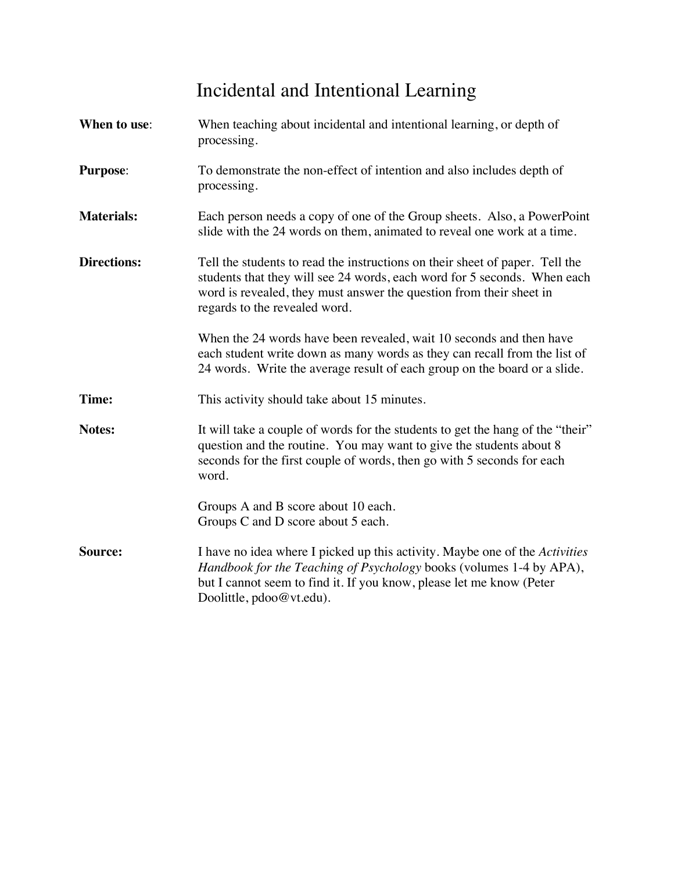# Incidental and Intentional Learning

| When to use:       | When teaching about incidental and intentional learning, or depth of<br>processing.                                                                                                                                                                              |  |  |
|--------------------|------------------------------------------------------------------------------------------------------------------------------------------------------------------------------------------------------------------------------------------------------------------|--|--|
| <b>Purpose:</b>    | To demonstrate the non-effect of intention and also includes depth of<br>processing.                                                                                                                                                                             |  |  |
| <b>Materials:</b>  | Each person needs a copy of one of the Group sheets. Also, a PowerPoint<br>slide with the 24 words on them, animated to reveal one work at a time.                                                                                                               |  |  |
| <b>Directions:</b> | Tell the students to read the instructions on their sheet of paper. Tell the<br>students that they will see 24 words, each word for 5 seconds. When each<br>word is revealed, they must answer the question from their sheet in<br>regards to the revealed word. |  |  |
|                    | When the 24 words have been revealed, wait 10 seconds and then have<br>each student write down as many words as they can recall from the list of<br>24 words. Write the average result of each group on the board or a slide.                                    |  |  |
| Time:              | This activity should take about 15 minutes.                                                                                                                                                                                                                      |  |  |
| Notes:             | It will take a couple of words for the students to get the hang of the "their"<br>question and the routine. You may want to give the students about 8<br>seconds for the first couple of words, then go with 5 seconds for each<br>word.                         |  |  |
|                    | Groups A and B score about 10 each.<br>Groups C and D score about 5 each.                                                                                                                                                                                        |  |  |
| Source:            | I have no idea where I picked up this activity. Maybe one of the Activities<br>Handbook for the Teaching of Psychology books (volumes 1-4 by APA),<br>but I cannot seem to find it. If you know, please let me know (Peter<br>Doolittle, pdoo@vt.edu).           |  |  |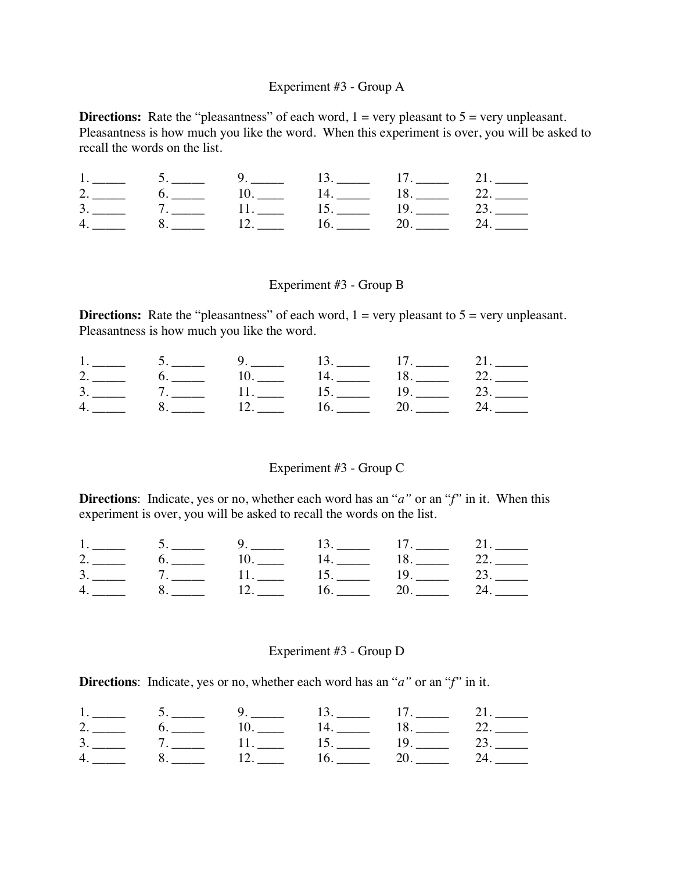# Experiment #3 - Group A

**Directions:** Rate the "pleasantness" of each word,  $1 = \text{very pleasant to } 5 = \text{very unpleasant.}$ Pleasantness is how much you like the word. When this experiment is over, you will be asked to recall the words on the list.

|               |                | $\mathcal{I}$ . |                             |             |                                                   |
|---------------|----------------|-----------------|-----------------------------|-------------|---------------------------------------------------|
|               |                |                 | $\mathbf{14.}$              | $1\delta$ . |                                                   |
| $\mathcal{R}$ | $\overline{a}$ |                 | $\mathbf{D}$ , $\mathbf{D}$ |             | e de la construcción de                           |
|               |                |                 | $10.$ $\qquad$              |             | $\mathbf{A}_{\bullet}$ and $\mathbf{A}_{\bullet}$ |

### Experiment #3 - Group B

**Directions:** Rate the "pleasantness" of each word,  $1 = \text{very pleasant to } 5 = \text{very unpleasant.}$ Pleasantness is how much you like the word.

| $\mathcal{D}$ |  |  |  |
|---------------|--|--|--|
| $\mathcal{R}$ |  |  |  |
|               |  |  |  |

# Experiment #3 - Group C

**Directions**: Indicate, yes or no, whether each word has an "*a"* or an "*f"* in it. When this experiment is over, you will be asked to recall the words on the list.

| $\mathcal{R}$ |  |  |  |
|---------------|--|--|--|
|               |  |  |  |

#### Experiment #3 - Group D

**Directions**: Indicate, yes or no, whether each word has an "*a"* or an "*f"* in it.

|          |  | $\mathbf{H}_{\mathbf{a}}$ and $\mathbf{H}_{\mathbf{a}}$ and $\mathbf{H}_{\mathbf{a}}$ |  |
|----------|--|---------------------------------------------------------------------------------------|--|
|          |  |                                                                                       |  |
| $\Delta$ |  |                                                                                       |  |